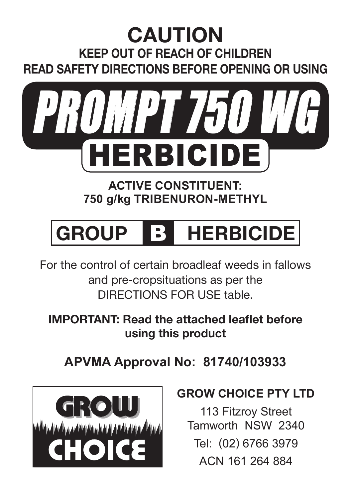# **CAUTION KEEP OUT OF REACH OF CHILDREN READ SAFETY DIRECTIONS BEFORE OPENING OR USING**



**ACTIVE CONSTITUENT: 750 g/kg TRIBENURON-METHYL**

# **GROUP** B **HERBICIDE**

For the control of certain broadleaf weeds in fallows and pre-cropsituations as per the DIRECTIONS FOR USE table.

**IMPORTANT: Read the attached leaflet before using this product**

**APVMA Approval No: 81740/103933**



#### **GROW CHOICE PTY LTD**

113 Fitzroy Street Tamworth NSW 2340 Tel: (02) 6766 3979 ACN 161 264 884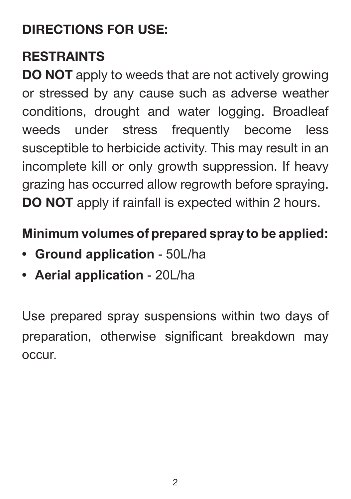# **DIRECTIONS FOR USE:**

# **RESTRAINTS**

**DO NOT** apply to weeds that are not actively growing or stressed by any cause such as adverse weather conditions, drought and water logging. Broadleaf weeds under stress frequently become less susceptible to herbicide activity. This may result in an incomplete kill or only growth suppression. If heavy grazing has occurred allow regrowth before spraying. **DO NOT** apply if rainfall is expected within 2 hours.

# **Minimum volumes of prepared spray to be applied:**

- **Ground application**  50L/ha
- **Aerial application**  20L/ha

Use prepared spray suspensions within two days of preparation, otherwise significant breakdown may occur.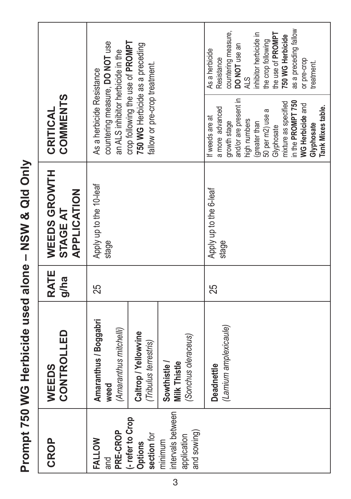Prompt 750 WG Herbicide used alone - NSW & Qld Only **Prompt 750 WG Herbicide used alone – NSW & Qld Only**

| COMMENTS<br>CRITICAL                                                                                                                               | countering measure, DO NOT use<br>crop following the use of PROMPT<br>750 WG Herbicide as a preceding<br>an ALS inhibitor herbicide in the<br>fallow or pre-crop treatment.<br>As a herbicide Resistance | as a preceding fallow<br>countering measure,<br>inhibitor herbicide in<br>the use of PROMPT<br>750 WG Herbicide<br>the crop following<br>DO NOT use an<br>As a herbicide<br>Resistance<br>or pre-crop<br>treatment.<br>ALS.<br>and/or are present in<br>in the PROMPT 750<br>mixture as specified<br>WG Herbicide and<br>Tank Mixes table.<br>a more advanced<br>50 per m2) use a<br>If weeds are at<br>high numbers<br>growth stage<br>(greater than<br>Glyphosate<br>Glyphosate |
|----------------------------------------------------------------------------------------------------------------------------------------------------|----------------------------------------------------------------------------------------------------------------------------------------------------------------------------------------------------------|-----------------------------------------------------------------------------------------------------------------------------------------------------------------------------------------------------------------------------------------------------------------------------------------------------------------------------------------------------------------------------------------------------------------------------------------------------------------------------------|
| WEEDS GROWTH<br>APPLICATION<br><b>STAGE AT</b>                                                                                                     | Apply up to the 10-leaf<br>stage                                                                                                                                                                         | Apply up to the 6-leaf<br>stage                                                                                                                                                                                                                                                                                                                                                                                                                                                   |
| <b>RATE</b><br>g/ha                                                                                                                                | 25                                                                                                                                                                                                       | 25                                                                                                                                                                                                                                                                                                                                                                                                                                                                                |
| <b>CONTROLLED</b><br>WEEDS                                                                                                                         | Amaranthus / Boggabri<br>(Amaranthus mitchelli)<br>Caltrop/Yellowvine<br>(Sonchus oleraceus)<br>(Tribulus terrestris)<br><b>Milk Thistle</b><br>Sowthistle/<br>weed                                      | (Lamium amplexicaule)<br>Deadnettle                                                                                                                                                                                                                                                                                                                                                                                                                                               |
| intervals between<br>-refer to Crop<br>PRE-CROP<br>and sowing)<br>section for<br>application<br>CROP<br>FALLOW<br>minimum<br><b>Options</b><br>and |                                                                                                                                                                                                          |                                                                                                                                                                                                                                                                                                                                                                                                                                                                                   |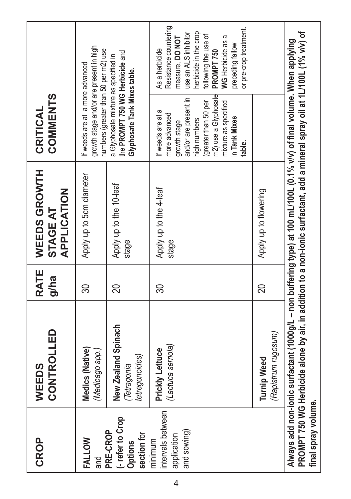| <b>CROP</b>                                                   | CONTROLLED<br>WEEDS                                                                                                                                                                                                                                    | <b>RATE</b><br>g/ha | WEEDS GROWTH<br>APPLICATION<br><b>STAGE AT</b> | <b>COMMENTS</b><br>CRITICAL                                                                                                                                                                       |                                                                                                                                                                                                                         |
|---------------------------------------------------------------|--------------------------------------------------------------------------------------------------------------------------------------------------------------------------------------------------------------------------------------------------------|---------------------|------------------------------------------------|---------------------------------------------------------------------------------------------------------------------------------------------------------------------------------------------------|-------------------------------------------------------------------------------------------------------------------------------------------------------------------------------------------------------------------------|
| <b>FALLOW</b><br>and                                          | Medics (Native)<br>(Medicago spp.)                                                                                                                                                                                                                     | 30                  | Apply up to 5cm diameter                       | growth stage and/or are present in high<br>numbers (greater than 50 per m2) use<br>If weeds are at a more advanced                                                                                |                                                                                                                                                                                                                         |
| (- refer to Crop<br>PRE-CROP<br>section for<br><b>Options</b> | New Zealand Spinach<br>tetregonoides)<br>Tetragonia                                                                                                                                                                                                    | 20                  | Apply up to the 10-leaf<br>stage               | the PROMPT750 WG Herbicide and<br>a Glyphosate mixture as specified in<br>Glyphosate Tank Mixes table.                                                                                            |                                                                                                                                                                                                                         |
| intervals between<br>and sowing)<br>application<br>minimum    | (Lactuca serriola)<br>Prickly Lettuce                                                                                                                                                                                                                  | 30                  | Apply up to the 4-leaf<br>stage                | m2) use a Glyphosate<br>and/or are present in<br>mixture as specified<br>(greater than 50 per<br>Б<br>more advanced<br>If weeds are at<br>in Tank Mixes<br>high numbers<br>growth stage<br>table. | Resistance countering<br>or pre-crop treatment.<br>herbicide in the crop<br>use an ALS inhibitor<br>following the use of<br>a<br>measure, DO NOT<br>WG Herbicide as<br>preceding fallow<br>As a herbicide<br>PROMPT 750 |
|                                                               | (Rapistrum rugosum)<br><b>Turnip Weed</b>                                                                                                                                                                                                              | 20                  | Apply up to flowering                          |                                                                                                                                                                                                   |                                                                                                                                                                                                                         |
| final spray volume.                                           | PROMPT 750 WG Herbicide alone by air, in addition to a non-ionic surfactant, add a mineral spray oil at 1L/100L (1% v/v) of<br>Always add non-ionic surfactant (1000g/L – non buffering type) at 100 mL/100L (0.1% v/v) of final volume. When applying |                     |                                                |                                                                                                                                                                                                   |                                                                                                                                                                                                                         |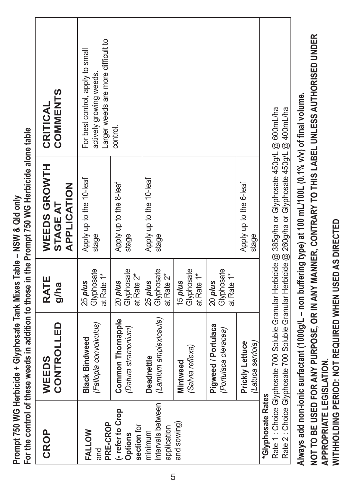|                                             |                                                 |                                     | For the control of these weeds in addition to those in the Prompt 750 WG Herbicide alone table                                                                                                             |                                                                                                   |
|---------------------------------------------|-------------------------------------------------|-------------------------------------|------------------------------------------------------------------------------------------------------------------------------------------------------------------------------------------------------------|---------------------------------------------------------------------------------------------------|
| CROP                                        | CONTROLLED<br>WEEDS                             | <b>RATE</b><br>g/ha                 | WEEDS GROWTH<br><b>APPLICATION</b><br><b>STAGE AT</b>                                                                                                                                                      | COMMENTS<br>CRITICAL                                                                              |
| PRE-CROP<br>FALLOW<br>and                   | (Fallopia convolvulus)<br><b>Black Bindweed</b> | Glyphosate<br>at Rate 1*<br>25 plus | Apply up to the 10-leaf<br>stage                                                                                                                                                                           | Larger weeds are more difficult to<br>For best control, apply to small<br>actively growing weeds. |
| -refer to Crop<br>section for<br>Options    | Common Thornapple<br>(Datura stramonium)        | Glyphosate<br>at Rate 2*<br>20 plus | Apply up to the 8-leaf<br>stage                                                                                                                                                                            | control.                                                                                          |
| intervals between<br>application<br>minimum | (Lamium amplexicaule)<br>Deadnettle             | Glyphosate<br>at Rate 2*<br>25 plus | Apply up to the 10-leaf<br>stage                                                                                                                                                                           |                                                                                                   |
| and sowing)                                 | (Salvia reflexa)<br>Mintweed                    | Glyphosate<br>at Rate 1*<br>15 plus |                                                                                                                                                                                                            |                                                                                                   |
|                                             | Pigweed / Portulaca<br>(Portulaca oleracea)     | Glyphosate<br>at Rate 1*<br>20 plus |                                                                                                                                                                                                            |                                                                                                   |
|                                             | Prickly Lettuce<br>(Latuca serriola)            |                                     | Apply up to the 6-leaf<br>stage                                                                                                                                                                            |                                                                                                   |
| <b>Glyphosate Rates</b>                     |                                                 |                                     | Rate 1 : Choice Glyphosate 700 Soluble Granular Herbicide @ 385g/ha or Glyphosate 450g/L @ 600mL/ha<br>Rate 2 : Choice Glyphosate 700 Soluble Granular Herbicide @ 260g/ha or Glyphosate 450g/L @ 400mL/ha |                                                                                                   |
| APPROPRIATE LEGISLATION.                    |                                                 |                                     | Always add non-ionic surfactant (1000g/L – non buffering type) at 100 mL/100L (0.1% v/v) of final volume.                                                                                                  | NOT TO BE USED FOR ANY PURPOSE, OR IN ANY MANNER, CONTRARY TO THIS LABEL UNLESS AUTHORISED UNDER  |

**Prompt 750 WG Herbicide + Glyphosate Tank Mixes Table – NSW & Qld only**

Prompt 750 WG Herbicide + Glyphosate Tank Mixes Table - NSW & Qld only

**WITHHOLDING PERIOD: NOT REQUIRED WHEN USED AS DIRECTED**

WITHHOLDING PERIOD: NOT REQUIRED WHEN USED AS DIRECTED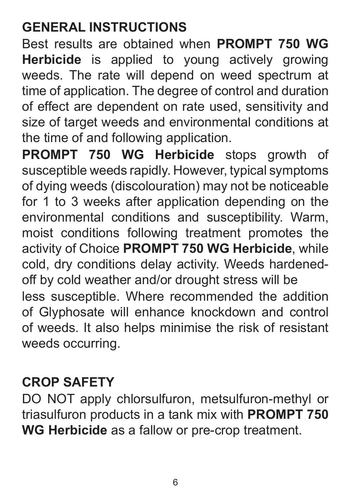# **GENERAL INSTRUCTIONS**

Best results are obtained when **PROMPT 750 WG Herbicide** is applied to young actively growing weeds. The rate will depend on weed spectrum at time of application. The degree of control and duration of effect are dependent on rate used, sensitivity and size of target weeds and environmental conditions at the time of and following application.

**PROMPT 750 WG Herbicide** stops growth of susceptible weeds rapidly. However, typical symptoms of dying weeds (discolouration) may not be noticeable for 1 to 3 weeks after application depending on the environmental conditions and susceptibility. Warm, moist conditions following treatment promotes the activity of Choice **PROMPT 750 WG Herbicide**, while cold, dry conditions delay activity. Weeds hardenedoff by cold weather and/or drought stress will be less susceptible. Where recommended the addition of Glyphosate will enhance knockdown and control of weeds. It also helps minimise the risk of resistant weeds occurring.

#### **CROP SAFETY**

DO NOT apply chlorsulfuron, metsulfuron-methyl or triasulfuron products in a tank mix with **PROMPT 750 WG Herbicide** as a fallow or pre-crop treatment.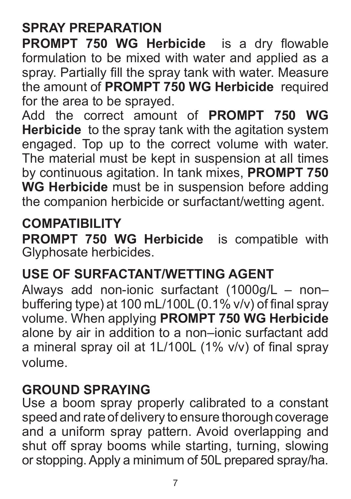# **SPRAY PREPARATION**

**PROMPT 750 WG Herbicide** is a dry flowable formulation to be mixed with water and applied as a spray. Partially fill the spray tank with water. Measure the amount of **PROMPT 750 WG Herbicide** required for the area to be sprayed.

Add the correct amount of **PROMPT 750 WG Herbicide** to the spray tank with the agitation system engaged. Top up to the correct volume with water. The material must be kept in suspension at all times by continuous agitation. In tank mixes, **PROMPT 750 WG Herbicide** must be in suspension before adding the companion herbicide or surfactant/wetting agent.

#### **COMPATIBILITY**

**PROMPT 750 WG Herbicide** is compatible with Glyphosate herbicides.

#### **USE OF SURFACTANT/WETTING AGENT**

Always add non-ionic surfactant (1000g/L – non– buffering type) at 100 mL/100L (0.1% v/v) of final spray volume. When applying **PROMPT 750 WG Herbicide** alone by air in addition to a non–ionic surfactant add a mineral spray oil at 1L/100L (1% v/v) of final spray volume.

#### **GROUND SPRAYING**

Use a boom spray properly calibrated to a constant speed and rate of delivery to ensure thorough coverage and a uniform spray pattern. Avoid overlapping and shut off spray booms while starting, turning, slowing or stopping. Apply a minimum of 50L prepared spray/ha.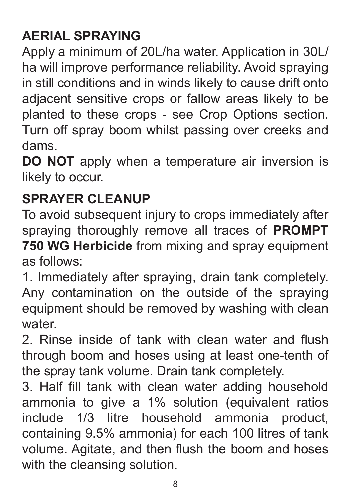# **AERIAL SPRAYING**

Apply a minimum of 20L/ha water. Application in 30L/ ha will improve performance reliability. Avoid spraying in still conditions and in winds likely to cause drift onto adjacent sensitive crops or fallow areas likely to be planted to these crops - see Crop Options section. Turn off spray boom whilst passing over creeks and dams.

**DO NOT** apply when a temperature air inversion is likely to occur.

#### **SPRAYER CLEANUP**

To avoid subsequent injury to crops immediately after spraying thoroughly remove all traces of **PROMPT 750 WG Herbicide** from mixing and spray equipment as follows:

1. Immediately after spraying, drain tank completely. Any contamination on the outside of the spraying equipment should be removed by washing with clean water.

2. Rinse inside of tank with clean water and flush through boom and hoses using at least one-tenth of the spray tank volume. Drain tank completely.

3. Half fill tank with clean water adding household ammonia to give a 1% solution (equivalent ratios include 1/3 litre household ammonia product, containing 9.5% ammonia) for each 100 litres of tank volume. Agitate, and then flush the boom and hoses with the cleansing solution.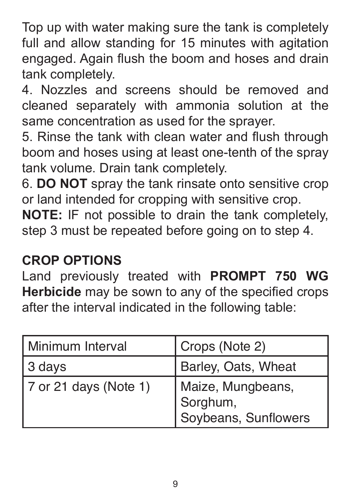Top up with water making sure the tank is completely full and allow standing for 15 minutes with agitation engaged. Again flush the boom and hoses and drain tank completely.

4. Nozzles and screens should be removed and cleaned separately with ammonia solution at the same concentration as used for the sprayer.

5. Rinse the tank with clean water and flush through boom and hoses using at least one-tenth of the spray tank volume. Drain tank completely.

6. **DO NOT** spray the tank rinsate onto sensitive crop or land intended for cropping with sensitive crop.

**NOTE:** IF not possible to drain the tank completely, step 3 must be repeated before going on to step 4.

#### **CROP OPTIONS**

Land previously treated with **PROMPT 750 WG Herbicide** may be sown to any of the specified crops after the interval indicated in the following table:

| Minimum Interval      | Crops (Note 2)                                        |
|-----------------------|-------------------------------------------------------|
| 3 days                | Barley, Oats, Wheat                                   |
| 7 or 21 days (Note 1) | Maize, Mungbeans,<br>Sorghum,<br>Soybeans, Sunflowers |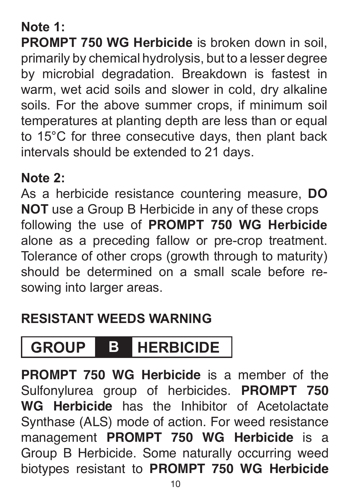#### **Note 1:**

**PROMPT 750 WG Herbicide** is broken down in soil. primarily by chemical hydrolysis, but to a lesser degree by microbial degradation. Breakdown is fastest in warm, wet acid soils and slower in cold, dry alkaline soils. For the above summer crops, if minimum soil temperatures at planting depth are less than or equal to 15°C for three consecutive days, then plant back intervals should be extended to 21 days.

#### **Note 2:**

As a herbicide resistance countering measure, **DO NOT** use a Group B Herbicide in any of these crops following the use of **PROMPT 750 WG Herbicide**  alone as a preceding fallow or pre-crop treatment. Tolerance of other crops (growth through to maturity) should be determined on a small scale before resowing into larger areas.

#### **Resistant Weeds Warning**

# **GROUP B HERBICIDE**

**PROMPT 750 WG Herbicide** is a member of the Sulfonylurea group of herbicides. **PROMPT 750 WG Herbicide** has the Inhibitor of Acetolactate Synthase (ALS) mode of action. For weed resistance management **PROMPT 750 WG Herbicide** is a Group B Herbicide. Some naturally occurring weed biotypes resistant to **PROMPT 750 WG Herbicide**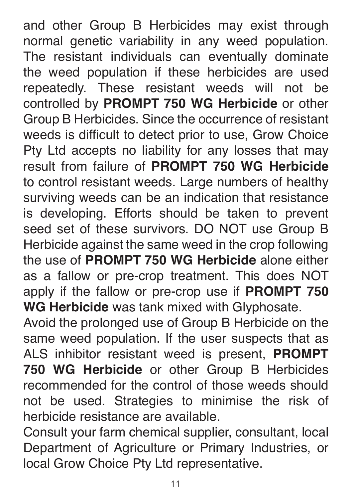and other Group B Herbicides may exist through normal genetic variability in any weed population. The resistant individuals can eventually dominate the weed population if these herbicides are used repeatedly. These resistant weeds will not be controlled by **PROMPT 750 WG Herbicide** or other Group B Herbicides. Since the occurrence of resistant weeds is difficult to detect prior to use, Grow Choice Pty Ltd accepts no liability for any losses that may result from failure of **PROMPT 750 WG Herbicide** to control resistant weeds. Large numbers of healthy surviving weeds can be an indication that resistance is developing. Efforts should be taken to prevent seed set of these survivors. DO NOT use Group B Herbicide against the same weed in the crop following the use of **PROMPT 750 WG Herbicide** alone either as a fallow or pre-crop treatment. This does NOT apply if the fallow or pre-crop use if **PROMPT 750 WG Herbicide** was tank mixed with Glyphosate.

Avoid the prolonged use of Group B Herbicide on the same weed population. If the user suspects that as ALS inhibitor resistant weed is present, **PROMPT 750 WG Herbicide** or other Group B Herbicides recommended for the control of those weeds should not be used. Strategies to minimise the risk of herbicide resistance are available.

Consult your farm chemical supplier, consultant, local Department of Agriculture or Primary Industries, or local Grow Choice Pty Ltd representative.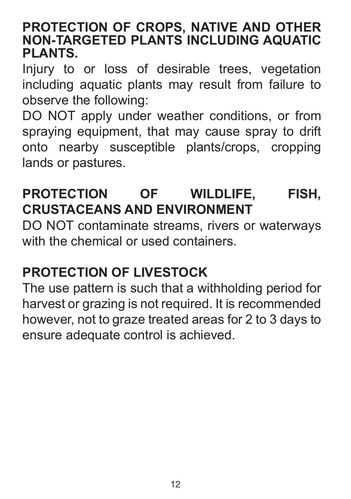#### **PROTECTION OF CROPS, NATIVE AND OTHER NON-TARGETED PLANTS INCLUDING AQUATIC PLANTS.**

Injury to or loss of desirable trees, vegetation including aquatic plants may result from failure to observe the following:

DO NOT apply under weather conditions, or from spraying equipment, that may cause spray to drift onto nearby susceptible plants/crops, cropping lands or pastures.

# **PROTECTION OF WILDLIFE, FISH, CRUSTACEANS AND ENVIRONMENT**

DO NOT contaminate streams, rivers or waterways with the chemical or used containers.

#### **PROTECTION OF LIVESTOCK**

The use pattern is such that a withholding period for harvest or grazing is not required. It is recommended however, not to graze treated areas for 2 to 3 days to ensure adequate control is achieved.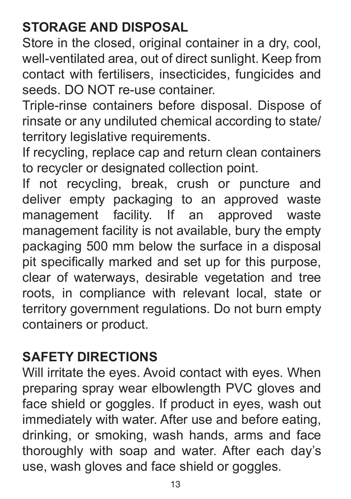# **STORAGE AND DISPOSAL**

Store in the closed, original container in a dry, cool, well-ventilated area, out of direct sunlight. Keep from contact with fertilisers, insecticides, fungicides and seeds. DO NOT re-use container.

Triple-rinse containers before disposal. Dispose of rinsate or any undiluted chemical according to state/ territory legislative requirements.

If recycling, replace cap and return clean containers to recycler or designated collection point.

If not recycling, break, crush or puncture and deliver empty packaging to an approved waste management facility. If an approved waste management facility is not available, bury the empty packaging 500 mm below the surface in a disposal pit specifically marked and set up for this purpose, clear of waterways, desirable vegetation and tree roots, in compliance with relevant local, state or territory government regulations. Do not burn empty containers or product.

#### **SAFETY DIRECTIONS**

Will irritate the eyes. Avoid contact with eyes. When preparing spray wear elbowlength PVC gloves and face shield or goggles. If product in eyes, wash out immediately with water. After use and before eating, drinking, or smoking, wash hands, arms and face thoroughly with soap and water. After each day's use, wash gloves and face shield or goggles.